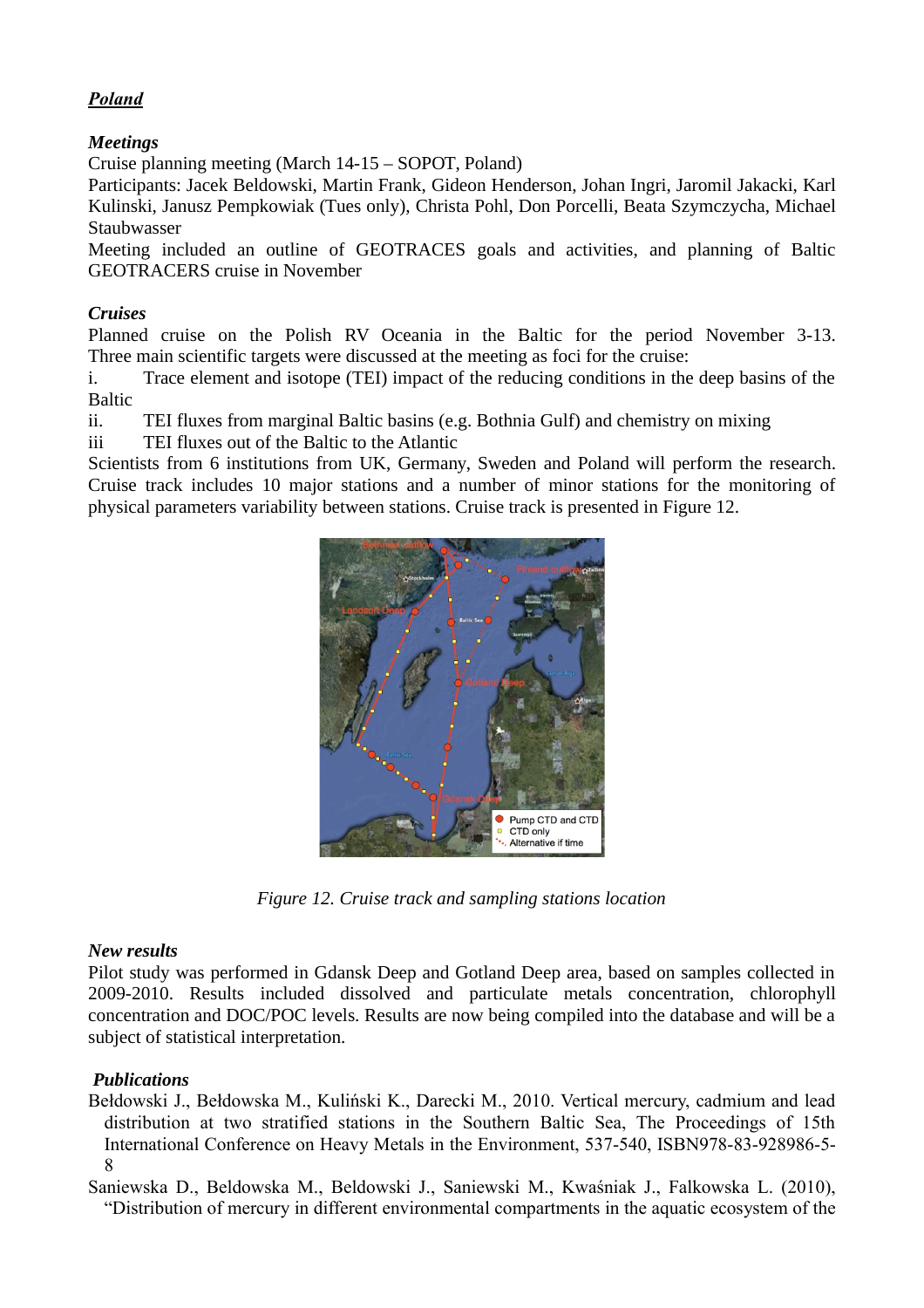# *Poland*

# *Meetings*

Cruise planning meeting (March 14-15 – SOPOT, Poland)

Participants: Jacek Beldowski, Martin Frank, Gideon Henderson, Johan Ingri, Jaromil Jakacki, Karl Kulinski, Janusz Pempkowiak (Tues only), Christa Pohl, Don Porcelli, Beata Szymczycha, Michael Staubwasser

Meeting included an outline of GEOTRACES goals and activities, and planning of Baltic GEOTRACERS cruise in November

### *Cruises*

Planned cruise on the Polish RV Oceania in the Baltic for the period November 3-13. Three main scientific targets were discussed at the meeting as foci for the cruise:

i. Trace element and isotope (TEI) impact of the reducing conditions in the deep basins of the Baltic

ii. TEI fluxes from marginal Baltic basins (e.g. Bothnia Gulf) and chemistry on mixing

iii TEI fluxes out of the Baltic to the Atlantic

Scientists from 6 institutions from UK, Germany, Sweden and Poland will perform the research. Cruise track includes 10 major stations and a number of minor stations for the monitoring of physical parameters variability between stations. Cruise track is presented in Figure 12.



*Figure 12. Cruise track and sampling stations location*

### *New results*

Pilot study was performed in Gdansk Deep and Gotland Deep area, based on samples collected in 2009-2010. Results included dissolved and particulate metals concentration, chlorophyll concentration and DOC/POC levels. Results are now being compiled into the database and will be a subject of statistical interpretation.

# *Publications*

Bełdowski J., Bełdowska M., Kuliński K., Darecki M., 2010. Vertical mercury, cadmium and lead distribution at two stratified stations in the Southern Baltic Sea, The Proceedings of 15th International Conference on Heavy Metals in the Environment, 537-540, ISBN978-83-928986-5- 8

Saniewska D., Beldowska M., Beldowski J., Saniewski M., Kwaśniak J., Falkowska L. (2010), "Distribution of mercury in different environmental compartments in the aquatic ecosystem of the